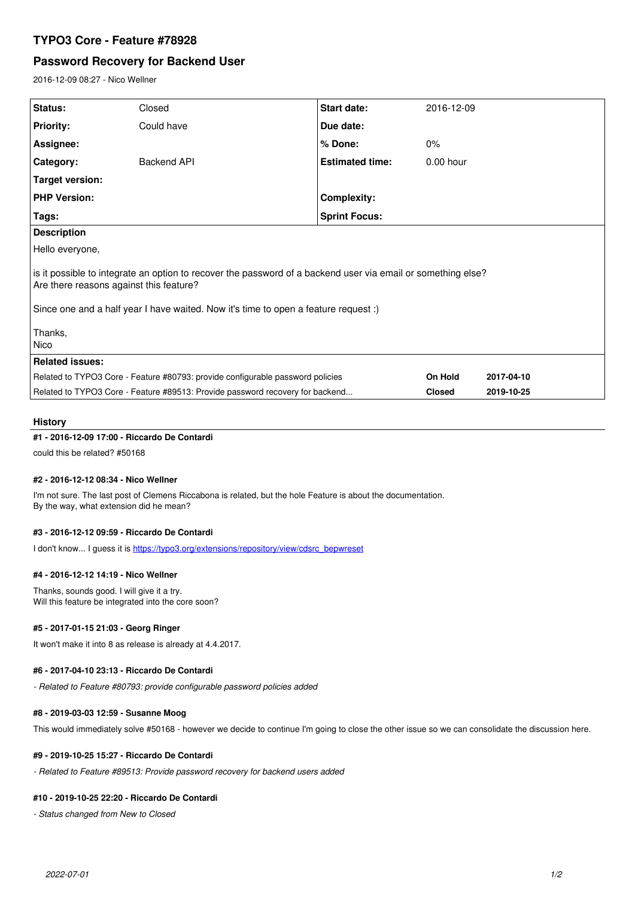# **TYPO3 Core - Feature #78928**

# **Password Recovery for Backend User**

2016-12-09 08:27 - Nico Wellner

| Status:                                                                                                                                                                                                                                        | Closed      | Start date:            | 2016-12-09    |            |
|------------------------------------------------------------------------------------------------------------------------------------------------------------------------------------------------------------------------------------------------|-------------|------------------------|---------------|------------|
| <b>Priority:</b>                                                                                                                                                                                                                               | Could have  | Due date:              |               |            |
| Assignee:                                                                                                                                                                                                                                      |             | % Done:                | 0%            |            |
| Category:                                                                                                                                                                                                                                      | Backend API | <b>Estimated time:</b> | $0.00$ hour   |            |
| <b>Target version:</b>                                                                                                                                                                                                                         |             |                        |               |            |
| <b>PHP Version:</b>                                                                                                                                                                                                                            |             | <b>Complexity:</b>     |               |            |
| Tags:                                                                                                                                                                                                                                          |             | <b>Sprint Focus:</b>   |               |            |
| <b>Description</b>                                                                                                                                                                                                                             |             |                        |               |            |
| Hello everyone,                                                                                                                                                                                                                                |             |                        |               |            |
| is it possible to integrate an option to recover the password of a backend user via email or something else?<br>Are there reasons against this feature?<br>Since one and a half year I have waited. Now it's time to open a feature request :) |             |                        |               |            |
| Thanks,<br>Nico                                                                                                                                                                                                                                |             |                        |               |            |
| <b>Related issues:</b>                                                                                                                                                                                                                         |             |                        |               |            |
| Related to TYPO3 Core - Feature #80793: provide configurable password policies                                                                                                                                                                 |             |                        | On Hold       | 2017-04-10 |
| Related to TYPO3 Core - Feature #89513: Provide password recovery for backend                                                                                                                                                                  |             |                        | <b>Closed</b> | 2019-10-25 |

### **History**

## **#1 - 2016-12-09 17:00 - Riccardo De Contardi**

could this be related? #50168

#### **#2 - 2016-12-12 08:34 - Nico Wellner**

I'm not sure. The last post of Clemens Riccabona is related, but the hole Feature is about the documentation. By the way, what extension did he mean?

## **#3 - 2016-12-12 09:59 - Riccardo De Contardi**

I don't know... I guess it is [https://typo3.org/extensions/repository/view/cdsrc\\_bepwreset](https://typo3.org/extensions/repository/view/cdsrc_bepwreset)

#### **#4 - 2016-12-12 14:19 - Nico Wellner**

Thanks, sounds good. I will give it a try. Will this feature be integrated into the core soon?

### **#5 - 2017-01-15 21:03 - Georg Ringer**

It won't make it into 8 as release is already at 4.4.2017.

## **#6 - 2017-04-10 23:13 - Riccardo De Contardi**

*- Related to Feature #80793: provide configurable password policies added*

#### **#8 - 2019-03-03 12:59 - Susanne Moog**

This would immediately solve #50168 - however we decide to continue I'm going to close the other issue so we can consolidate the discussion here.

### **#9 - 2019-10-25 15:27 - Riccardo De Contardi**

*- Related to Feature #89513: Provide password recovery for backend users added*

#### **#10 - 2019-10-25 22:20 - Riccardo De Contardi**

*- Status changed from New to Closed*